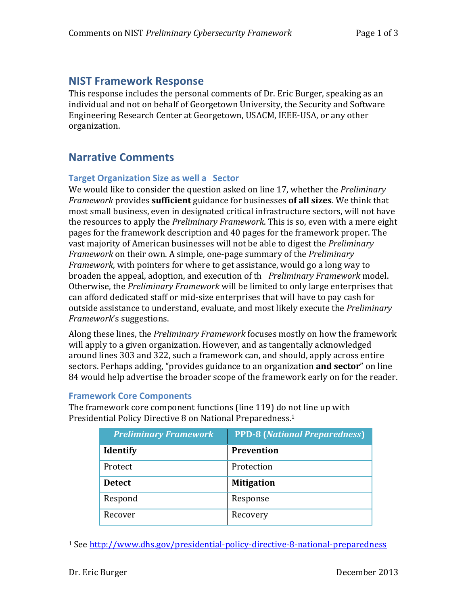## **NIST Framework Response**

This response includes the personal comments of Dr. Eric Burger, speaking as an individual and not on behalf of Georgetown University, the Security and Software Engineering Research Center at Georgetown, USACM, IEEE-USA, or any other organization.

# **Narrative Comments**

### **Target Organization Size as well a Sector**

We would like to consider the question asked on line 17, whether the *Preliminary Framework* provides **sufficient** guidance for businesses **of all sizes**. We think that most small business, even in designated critical infrastructure sectors, will not have the resources to apply the *Preliminary Framework*. This is so, even with a mere eight pages for the framework description and 40 pages for the framework proper. The vast majority of American businesses will not be able to digest the *Preliminary Framework* on their own. A simple, one-page summary of the *Preliminary Framework*, with pointers for where to get assistance, would go a long way to broaden the appeal, adoption, and execution of th *Preliminary Framework* model. Otherwise, the *Preliminary Framework* will be limited to only large enterprises that can afford dedicated staff or mid-size enterprises that will have to pay cash for outside assistance to understand, evaluate, and most likely execute the *Preliminary Framework*'s suggestions.

Along these lines, the *Preliminary Framework* focuses mostly on how the framework will apply to a given organization. However, and as tangentally acknowledged around lines 303 and 322, such a framework can, and should, apply across entire sectors. Perhaps adding, "provides guidance to an organization **and sector**" on line 84 would help advertise the broader scope of the framework early on for the reader.

#### **Framework Core Components**

The framework core component functions (line 119) do not line up with Presidential Policy Directive 8 on National Preparedness.<sup>1</sup>

| <b>Preliminary Framework</b> | <b>PPD-8 (National Preparedness)</b> |
|------------------------------|--------------------------------------|
| <b>Identify</b>              | <b>Prevention</b>                    |
| Protect                      | Protection                           |
| <b>Detect</b>                | <b>Mitigation</b>                    |
| Respond                      | Response                             |
| Recover                      | Recovery                             |

<sup>1</sup> See http://www.dhs.gov/presidential-policy-directive-8-national-preparedness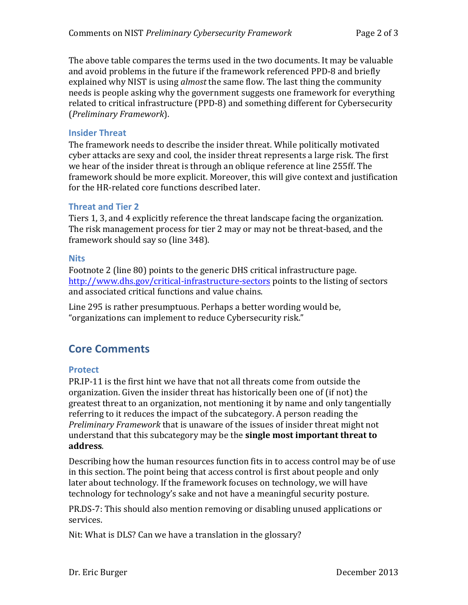The above table compares the terms used in the two documents. It may be valuable and avoid problems in the future if the framework referenced PPD-8 and briefly explained why NIST is using *almost* the same flow. The last thing the community needs is people asking why the government suggests one framework for everything related to critical infrastructure (PPD-8) and something different for Cybersecurity (*Preliminary Framework*).

#### **Insider Threat**

The framework needs to describe the insider threat. While politically motivated cyber attacks are sexy and cool, the insider threat represents a large risk. The first we hear of the insider threat is through an oblique reference at line 255ff. The framework should be more explicit. Moreover, this will give context and justification for the HR-related core functions described later.

#### **Threat and Tier 2**

Tiers 1, 3, and 4 explicitly reference the threat landscape facing the organization. The risk management process for tier 2 may or may not be threat-based, and the framework should say so (line 348).

#### **Nits**

Footnote 2 (line 80) points to the generic DHS critical infrastructure page. http://www.dhs.gov/critical-infrastructure-sectors points to the listing of sectors and associated critical functions and value chains.

Line 295 is rather presumptuous. Perhaps a better wording would be, "organizations can implement to reduce Cybersecurity risk."

# **Core Comments**

#### **Protect**

PR.IP-11 is the first hint we have that not all threats come from outside the organization. Given the insider threat has historically been one of (if not) the greatest threat to an organization, not mentioning it by name and only tangentially referring to it reduces the impact of the subcategory. A person reading the *Preliminary Framework* that is unaware of the issues of insider threat might not understand that this subcategory may be the **single most important threat to address**.

Describing how the human resources function fits in to access control may be of use in this section. The point being that access control is first about people and only later about technology. If the framework focuses on technology, we will have technology for technology's sake and not have a meaningful security posture.

PR.DS-7: This should also mention removing or disabling unused applications or services.

Nit: What is DLS? Can we have a translation in the glossary?